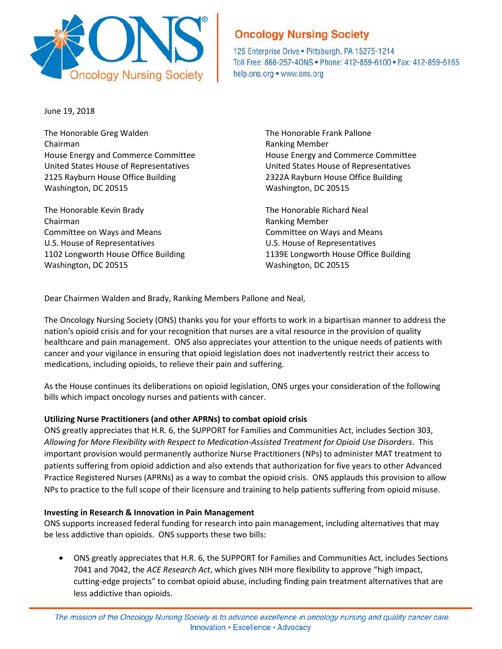

# **Oncology Nursing Society**

125 Enterprise Drive . Pittsburgh, PA 15275-1214 Toll Free: 866-257-40NS . Phone: 412-859-6100 . Fax: 412-859-6165 help.ons.org • www.ons.org

June 19, 2018

The Honorable Greg Walden The Honorable Frank Pallone Chairman **Ranking Member** Ranking Member House Energy and Commerce Committee House Energy and Commerce Committee United States House of Representatives United States House of Representatives 2125 Rayburn House Office Building 2322A Rayburn House Office Building Washington, DC 20515 Washington, DC 20515

The Honorable Kevin Brady The Honorable Richard Neal Chairman **Ranking Member** Chairman **Ranking Member** Committee on Ways and Means **Committee on Ways and Means** Committee on Ways and Means U.S. House of Representatives U.S. House of Representatives Washington, DC 20515 Washington, DC 20515

1102 Longworth House Office Building 1139E Longworth House Office Building

Dear Chairmen Walden and Brady, Ranking Members Pallone and Neal,

The Oncology Nursing Society (ONS) thanks you for your efforts to work in a bipartisan manner to address the nation's opioid crisis and for your recognition that nurses are a vital resource in the provision of quality healthcare and pain management. ONS also appreciates your attention to the unique needs of patients with cancer and your vigilance in ensuring that opioid legislation does not inadvertently restrict their access to medications, including opioids, to relieve their pain and suffering.

As the House continues its deliberations on opioid legislation, ONS urges your consideration of the following bills which impact oncology nurses and patients with cancer.

## **Utilizing Nurse Practitioners (and other APRNs) to combat opioid crisis**

ONS greatly appreciates that H.R. 6, the SUPPORT for Families and Communities Act, includes Section 303, *Allowing for More Flexibility with Respect to Medication-Assisted Treatment for Opioid Use Disorders*. This important provision would permanently authorize Nurse Practitioners (NPs) to administer MAT treatment to patients suffering from opioid addiction and also extends that authorization for five years to other Advanced Practice Registered Nurses (APRNs) as a way to combat the opioid crisis. ONS applauds this provision to allow NPs to practice to the full scope of their licensure and training to help patients suffering from opioid misuse.

## **Investing in Research & Innovation in Pain Management**

ONS supports increased federal funding for research into pain management, including alternatives that may be less addictive than opioids. ONS supports these two bills:

• ONS greatly appreciates that H.R. 6, the SUPPORT for Families and Communities Act, includes Sections 7041 and 7042, the *ACE Research Act*, which gives NIH more flexibility to approve "high impact, cutting-edge projects" to combat opioid abuse, including finding pain treatment alternatives that are less addictive than opioids.